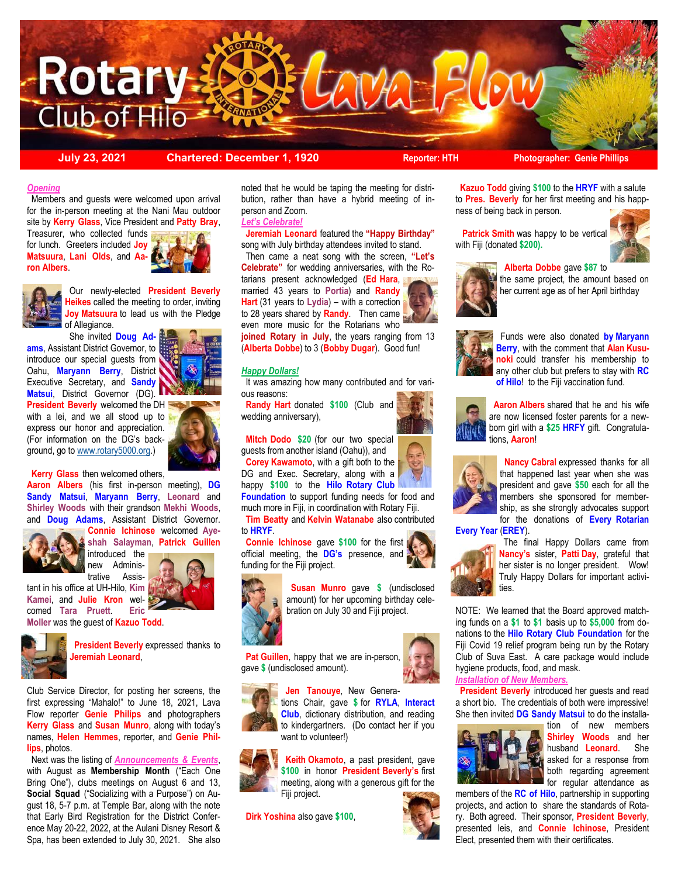

**July 23, 2021 Chartered: December 1, 1920 Reporter: HTH Photographer: Genie Phillips**

#### *Opening*

 Members and guests were welcomed upon arrival for the in-person meeting at the Nani Mau outdoor site by **Kerry Glass**, Vice President and **Patty Bray**, Treasurer, who collected funds

for lunch. Greeters included **Joy Matsuura**, **Lani Olds**, and **Aaron Albers**.





 Our newly-elected **President Beverly Heikes** called the meeting to order, inviting **Joy Matsuura** to lead us with the Pledge of Allegiance.

 She invited **Doug Adams**, Assistant District Governor, to introduce our special guests from Oahu, **Maryann Berry**, District Executive Secretary, and **Sandy Matsui**, District Governor (DG).

**President Beverly** welcomed the DH with a lei, and we all stood up to express our honor and appreciation. (For information on the DG's background, go to [www.rotary5000.org.](http://www.rotary5000.org))



**Kerry Glass** then welcomed others,

**Aaron Albers** (his first in-person meeting), **DG Sandy Matsui**, **Maryann Berry**, **Leonard** and **Shirley Woods** with their grandson **Mekhi Woods**, and **Doug Adams**, Assistant District Governor.



**Connie Ichinose** welcomed **Ayeshah Salayman**, **Patrick Guillen** 

new Administrative Assis-

tant in his office at UH-Hilo, **Kim** 

comed **Tara Pruett**. **Eric Moller** was the guest of **Kazuo Todd**.





 **President Beverly** expressed thanks to **Jeremiah Leonard**,

Club Service Director, for posting her screens, the first expressing "Mahalo!" to June 18, 2021, Lava Flow reporter **Genie Philips** and photographers **Kerry Glass** and **Susan Munro**, along with today's names, **Helen Hemmes**, reporter, and **Genie Phillips**, photos.

 Next was the listing of *Announcements & Events*, with August as **Membership Month** ("Each One Bring One"), clubs meetings on August 6 and 13, **Social Squad** ("Socializing with a Purpose") on August 18, 5-7 p.m. at Temple Bar, along with the note that Early Bird Registration for the District Conference May 20-22, 2022, at the Aulani Disney Resort & Spa, has been extended to July 30, 2021. She also

noted that he would be taping the meeting for distribution, rather than have a hybrid meeting of inperson and Zoom.

#### *Let's Celebrate!*

 **Jeremiah Leonard** featured the **"Happy Birthday"**  song with July birthday attendees invited to stand.

 Then came a neat song with the screen, **"Let's Celebrate"** for wedding anniversaries, with the Rotarians present acknowledged (**Ed Hara**, married 43 years to **Portia**) and **Randy Hart** (31 years to Lydia) – with a correction to 28 years shared by **Randy**. Then came even more music for the Rotarians who

**joined Rotary in July**, the years ranging from 13 (**Alberta Dobbe**) to 3 (**Bobby Dugar**). Good fun!

#### *Happy Dollars!*

 It was amazing how many contributed and for various reasons:

 **Randy Hart** donated **\$100** (Club and wedding anniversary),

 **Mitch Dodo \$20** (for our two special guests from another island (Oahu)), and **Corey Kawamoto**, with a gift both to the DG and Exec. Secretary, along with a

happy **\$100** to the **Hilo Rotary Club Foundation** to support funding needs for food and

much more in Fiji, in coordination with Rotary Fiji. **Tim Beatty** and **Kelvin Watanabe** also contributed

to **HRYF**.

 **Connie Ichinose** gave **\$100** for the first official meeting, the **DG's** presence, and funding for the Fiji project.



 **Susan Munro** gave **\$** (undisclosed amount) for her upcoming birthday celebration on July 30 and Fiji project.

Pat Guillen, happy that we are in-person gave **\$** (undisclosed amount).





**Club**, dictionary distribution, and reading to kindergartners. (Do contact her if you want to volunteer!)



 **Keith Okamoto**, a past president, gave **\$100** in honor **President Beverly's** first meeting, along with a generous gift for the Fiji project.

**Dirk Yoshina** also gave **\$100**,



 **Kazuo Todd** giving **\$100** to the **HRYF** with a salute to **Pres. Beverly** for her first meeting and his happness of being back in person.

 **Patrick Smith** was happy to be vertical with Fiji (donated **\$200).** 



Funds were also donated **by Maryann** 

the same project, the amount based on her current age as of her April birthday



**Berry**, with the comment that **Alan Kusunoki** could transfer his membership to any other club but prefers to stay with **RC of Hilo**! to the Fiji vaccination fund.



 **Aaron Albers** shared that he and his wife are now licensed foster parents for a newborn girl with a **\$25 HRFY** gift. Congratulations, **Aaron**!



**Nancy Cabral** expressed thanks for all that happened last year when she was president and gave **\$50** each for all the members she sponsored for membership, as she strongly advocates support for the donations of **Every Rotarian** 

**Every Year** (**EREY**).



 The final Happy Dollars came from **Nancy's** sister, **Patti Day**, grateful that her sister is no longer president. Wow! Truly Happy Dollars for important activities.

NOTE: We learned that the Board approved matching funds on a **\$1** to **\$1** basis up to **\$5,000** from donations to the **Hilo Rotary Club Foundation** for the Fiji Covid 19 relief program being run by the Rotary Club of Suva East. A care package would include hygiene products, food, and mask.

#### *Installation of New Members.*

**President Beverly** introduced her quests and read a short bio. The credentials of both were impressive! She then invited **DG Sandy Matsui** to do the installa-



tion of new members **Shirley Woods** and her husband **Leonard**. She asked for a response from both regarding agreement for regular attendance as

members of the **RC of Hilo**, partnership in supporting projects, and action to share the standards of Rotary. Both agreed. Their sponsor, **President Beverly**, presented leis, and **Connie Ichinose**, President Elect, presented them with their certificates.